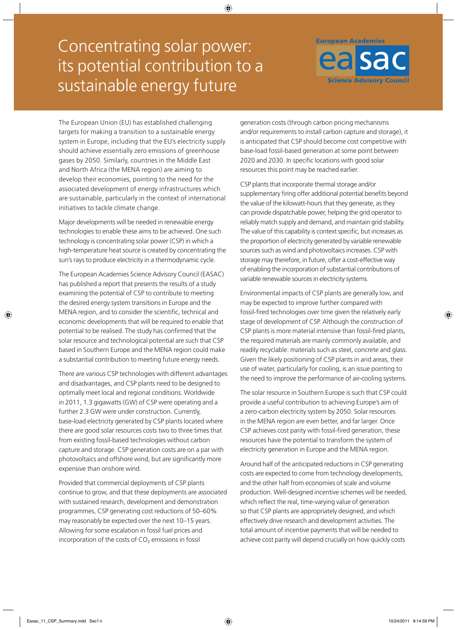# Concentrating solar power: its potential contribution to a sustainable energy future



The European Union (EU) has established challenging targets for making a transition to a sustainable energy system in Europe, including that the EU's electricity supply should achieve essentially zero emissions of greenhouse gases by 2050. Similarly, countries in the Middle East and North Africa (the MENA region) are aiming to develop their economies, pointing to the need for the associated development of energy infrastructures which are sustainable, particularly in the context of international initiatives to tackle climate change.

Major developments will be needed in renewable energy technologies to enable these aims to be achieved. One such technology is concentrating solar power (CSP) in which a high-temperature heat source is created by concentrating the sun's rays to produce electricity in a thermodynamic cycle.

The European Academies Science Advisory Council (EASAC) has published a report that presents the results of a study examining the potential of CSP to contribute to meeting the desired energy system transitions in Europe and the MENA region, and to consider the scientific, technical and economic developments that will be required to enable that potential to be realised. The study has confirmed that the solar resource and technological potential are such that CSP based in Southern Europe and the MENA region could make a substantial contribution to meeting future energy needs.

There are various CSP technologies with different advantages and disadvantages, and CSP plants need to be designed to optimally meet local and regional conditions. Worldwide in 2011, 1.3 gigawatts (GW) of CSP were operating and a further 2.3 GW were under construction. Currently, base-load electricity generated by CSP plants located where there are good solar resources costs two to three times that from existing fossil-based technologies without carbon capture and storage. CSP generation costs are on a par with photovoltaics and offshore wind, but are significantly more expensive than onshore wind.

Provided that commercial deployments of CSP plants continue to grow, and that these deployments are associated with sustained research, development and demonstration programmes, CSP generating cost reductions of 50–60% may reasonably be expected over the next 10–15 years. Allowing for some escalation in fossil fuel prices and incorporation of the costs of  $CO<sub>2</sub>$  emissions in fossil

generation costs (through carbon pricing mechanisms and/or requirements to install carbon capture and storage), it is anticipated that CSP should become cost competitive with base-load fossil-based generation at some point between 2020 and 2030. In specific locations with good solar resources this point may be reached earlier.

CSP plants that incorporate thermal storage and/or supplementary firing offer additional potential benefits beyond the value of the kilowatt-hours that they generate, as they can provide dispatchable power, helping the grid operator to reliably match supply and demand, and maintain grid stability. The value of this capability is context specific, but increases as the proportion of electricity generated by variable renewable sources such as wind and photovoltaics increases. CSP with storage may therefore, in future, offer a cost-effective way of enabling the incorporation of substantial contributions of variable renewable sources in electricity systems.

Environmental impacts of CSP plants are generally low, and may be expected to improve further compared with fossil-fired technologies over time given the relatively early stage of development of CSP. Although the construction of CSP plants is more material intensive than fossil-fired plants, the required materials are mainly commonly available, and readily recyclable: materials such as steel, concrete and glass. Given the likely positioning of CSP plants in arid areas, their use of water, particularly for cooling, is an issue pointing to the need to improve the performance of air-cooling systems.

The solar resource in Southern Europe is such that CSP could provide a useful contribution to achieving Europe's aim of a zero-carbon electricity system by 2050. Solar resources in the MENA region are even better, and far larger. Once CSP achieves cost parity with fossil-fired generation, these resources have the potential to transform the system of electricity generation in Europe and the MENA region.

Around half of the anticipated reductions in CSP generating costs are expected to come from technology developments, and the other half from economies of scale and volume production. Well-designed incentive schemes will be needed, which reflect the real, time-varying value of generation so that CSP plants are appropriately designed, and which effectively drive research and development activities. The total amount of incentive payments that will be needed to achieve cost parity will depend crucially on how quickly costs